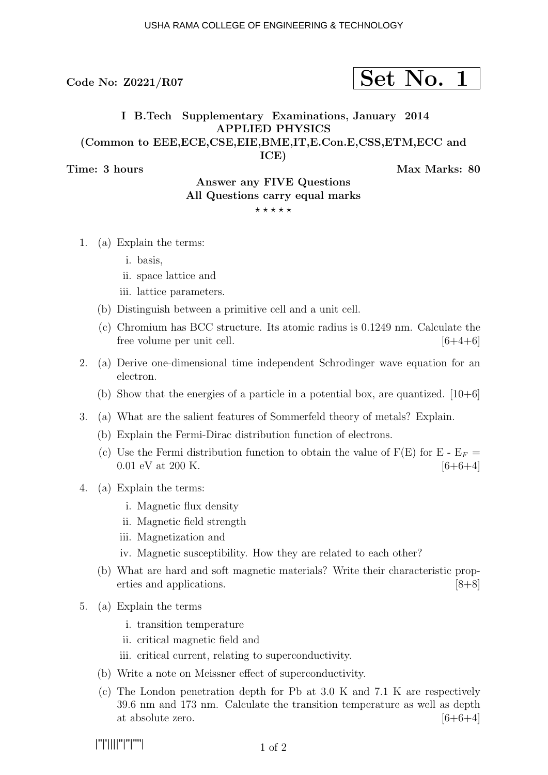## $\text{Code No: } \text{Z}0221/\text{R}07$   $\text{Set No. } 1$

### I B.Tech Supplementary Examinations, January 2014 APPLIED PHYSICS (Common to EEE,ECE,CSE,EIE,BME,IT,E.Con.E,CSS,ETM,ECC and

ICE)

Time: 3 hours and the matrix of the Max Marks: 80

### Answer any FIVE Questions All Questions carry equal marks  $***$   $*$

- 1. (a) Explain the terms:
	- i. basis,
	- ii. space lattice and
	- iii. lattice parameters.
	- (b) Distinguish between a primitive cell and a unit cell.
	- (c) Chromium has BCC structure. Its atomic radius is 0.1249 nm. Calculate the free volume per unit cell.  $[6+4+6]$
- 2. (a) Derive one-dimensional time independent Schrodinger wave equation for an electron.
	- (b) Show that the energies of a particle in a potential box, are quantized.  $[10+6]$
- 3. (a) What are the salient features of Sommerfeld theory of metals? Explain.
	- (b) Explain the Fermi-Dirac distribution function of electrons.
	- (c) Use the Fermi distribution function to obtain the value of  $F(E)$  for  $E E_F =$ 0.01 eV at 200 K.  $[6+6+4]$
- 4. (a) Explain the terms:
	- i. Magnetic flux density
	- ii. Magnetic field strength
	- iii. Magnetization and
	- iv. Magnetic susceptibility. How they are related to each other?
	- (b) What are hard and soft magnetic materials? Write their characteristic properties and applications. [8+8]
- 5. (a) Explain the terms
	- i. transition temperature
	- ii. critical magnetic field and
	- iii. critical current, relating to superconductivity.
	- (b) Write a note on Meissner effect of superconductivity.
	- (c) The London penetration depth for Pb at 3.0 K and 7.1 K are respectively 39.6 nm and 173 nm. Calculate the transition temperature as well as depth at absolute zero.  $[6+6+4]$

|''|'||||''|''|''''|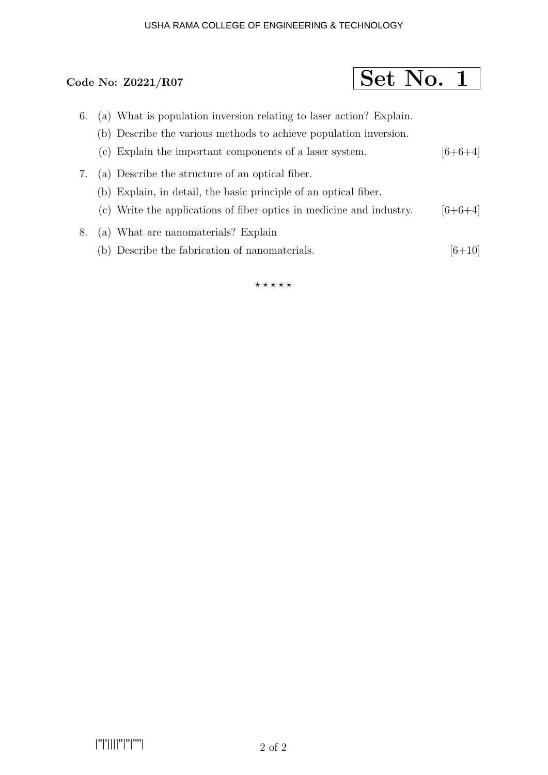### USHA RAMA COLLEGE OF ENGINEERING & TECHNOLOGY

# Code No:  $Z0221/R07$  Set No. 1

- 6. (a) What is population inversion relating to laser action? Explain.
	- (b) Describe the various methods to achieve population inversion.
	- (c) Explain the important components of a laser system.  $[6+6+4]$
- 7. (a) Describe the structure of an optical fiber. (b) Explain, in detail, the basic principle of an optical fiber.
	- (c) Write the applications of fiber optics in medicine and industry.  $[6+6+4]$
- 8. (a) What are nanomaterials? Explain
	- (b) Describe the fabrication of nanomaterials.  $[6+10]$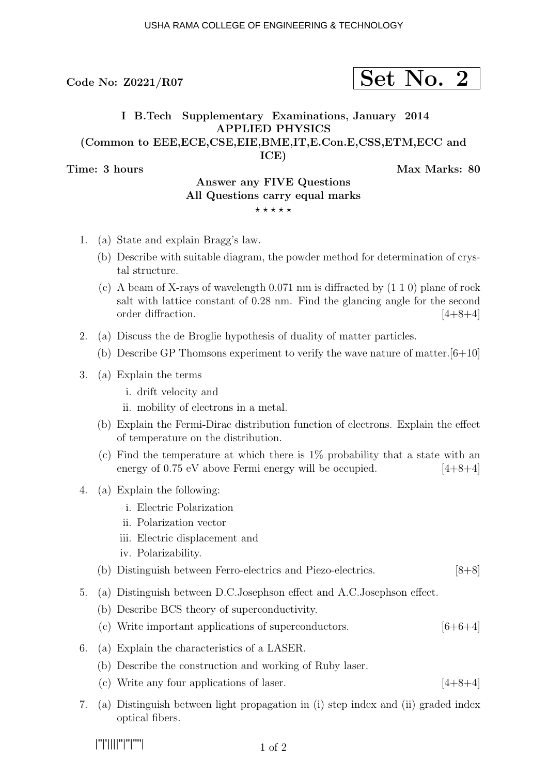## $\text{Code No: } \text{Z}0221/\text{R}07$   $\text{Set No. } 2$

## I B.Tech Supplementary Examinations, January 2014 APPLIED PHYSICS (Common to EEE,ECE,CSE,EIE,BME,IT,E.Con.E,CSS,ETM,ECC and

ICE)

Time: 3 hours and the matrix of the Max Marks: 80

### Answer any FIVE Questions All Questions carry equal marks  $***$ \*\*

- 1. (a) State and explain Bragg's law.
	- (b) Describe with suitable diagram, the powder method for determination of crystal structure.
	- (c) A beam of X-rays of wavelength 0.071 nm is diffracted by (1 1 0) plane of rock salt with lattice constant of 0.28 nm. Find the glancing angle for the second order diffraction. [4+8+4]
- 2. (a) Discuss the de Broglie hypothesis of duality of matter particles.
	- (b) Describe GP Thomsons experiment to verify the wave nature of matter.  $[6+10]$
- 3. (a) Explain the terms
	- i. drift velocity and
	- ii. mobility of electrons in a metal.
	- (b) Explain the Fermi-Dirac distribution function of electrons. Explain the effect of temperature on the distribution.
	- (c) Find the temperature at which there is 1% probability that a state with an energy of  $0.75$  eV above Fermi energy will be occupied.  $[4+8+4]$
- 4. (a) Explain the following:
	- i. Electric Polarization
	- ii. Polarization vector
	- iii. Electric displacement and
	- iv. Polarizability.
	- (b) Distinguish between Ferro-electrics and Piezo-electrics. [8+8]
- 5. (a) Distinguish between D.C.Josephson effect and A.C.Josephson effect.
	- (b) Describe BCS theory of superconductivity.
	- (c) Write important applications of superconductors.  $[6+6+4]$
- 6. (a) Explain the characteristics of a LASER.
	- (b) Describe the construction and working of Ruby laser.
	- (c) Write any four applications of laser.  $[4+8+4]$
- 7. (a) Distinguish between light propagation in (i) step index and (ii) graded index optical fibers.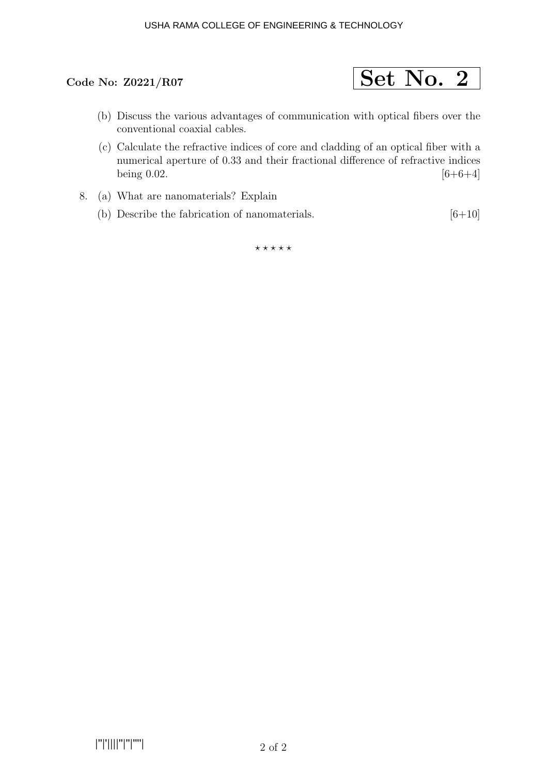### USHA RAMA COLLEGE OF ENGINEERING & TECHNOLOGY



- (b) Discuss the various advantages of communication with optical fibers over the conventional coaxial cables.
- (c) Calculate the refractive indices of core and cladding of an optical fiber with a numerical aperture of 0.33 and their fractional difference of refractive indices being 0.02.  $[6+6+4]$
- 8. (a) What are nanomaterials? Explain
	- (b) Describe the fabrication of nanomaterials.  $[6+10]$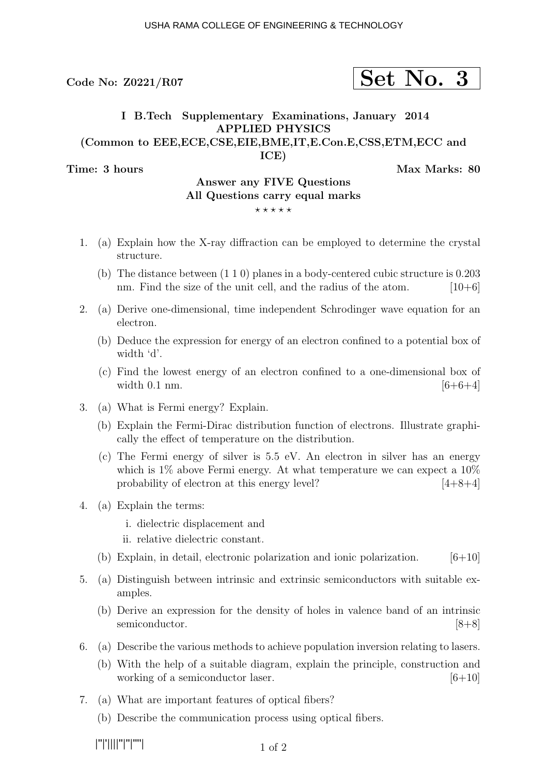# $\text{Code No: } \text{Z}0221/\text{R}07$   $\text{Set No. } 3$

## I B.Tech Supplementary Examinations, January 2014 APPLIED PHYSICS (Common to EEE,ECE,CSE,EIE,BME,IT,E.Con.E,CSS,ETM,ECC and

ICE)

Time: 3 hours and the set of the set of the Max Marks: 80

### Answer any FIVE Questions All Questions carry equal marks  $***$ \*\*

- 
- 1. (a) Explain how the X-ray diffraction can be employed to determine the crystal structure.
	- (b) The distance between (1 1 0) planes in a body-centered cubic structure is 0.203 nm. Find the size of the unit cell, and the radius of the atom.  $[10+6]$
- 2. (a) Derive one-dimensional, time independent Schrodinger wave equation for an electron.
	- (b) Deduce the expression for energy of an electron confined to a potential box of width 'd'.
	- (c) Find the lowest energy of an electron confined to a one-dimensional box of width  $0.1 \text{ nm}$ . [6+6+4]
- 3. (a) What is Fermi energy? Explain.
	- (b) Explain the Fermi-Dirac distribution function of electrons. Illustrate graphically the effect of temperature on the distribution.
	- (c) The Fermi energy of silver is 5.5 eV. An electron in silver has an energy which is  $1\%$  above Fermi energy. At what temperature we can expect a  $10\%$ probability of electron at this energy level?  $[4+8+4]$
- 4. (a) Explain the terms:
	- i. dielectric displacement and
	- ii. relative dielectric constant.
	- (b) Explain, in detail, electronic polarization and ionic polarization.  $[6+10]$
- 5. (a) Distinguish between intrinsic and extrinsic semiconductors with suitable examples.
	- (b) Derive an expression for the density of holes in valence band of an intrinsic semiconductor. [8+8]
- 6. (a) Describe the various methods to achieve population inversion relating to lasers.
	- (b) With the help of a suitable diagram, explain the principle, construction and working of a semiconductor laser.  $[6+10]$
- 7. (a) What are important features of optical fibers?
	- (b) Describe the communication process using optical fibers.

|''|'||||''|''|''''|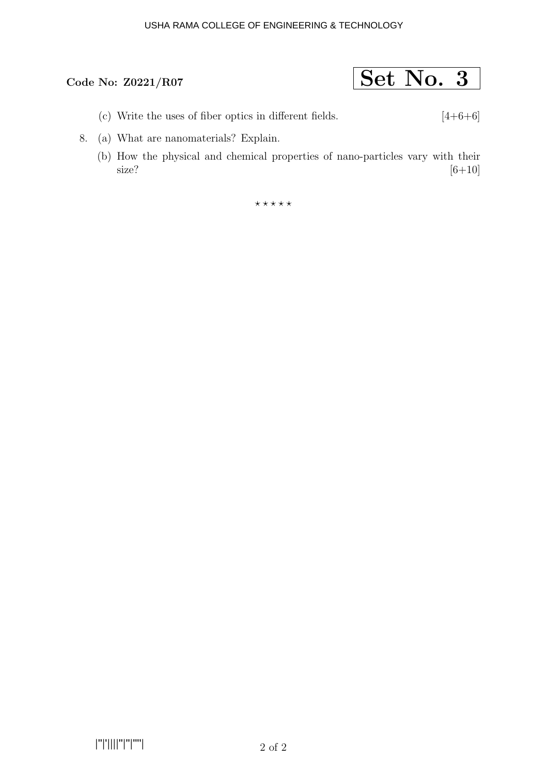### USHA RAMA COLLEGE OF ENGINEERING & TECHNOLOGY

- (c) Write the uses of fiber optics in different fields.  $[4+6+6]$
- 8. (a) What are nanomaterials? Explain.
	- (b) How the physical and chemical properties of nano-particles vary with their size?  $[6+10]$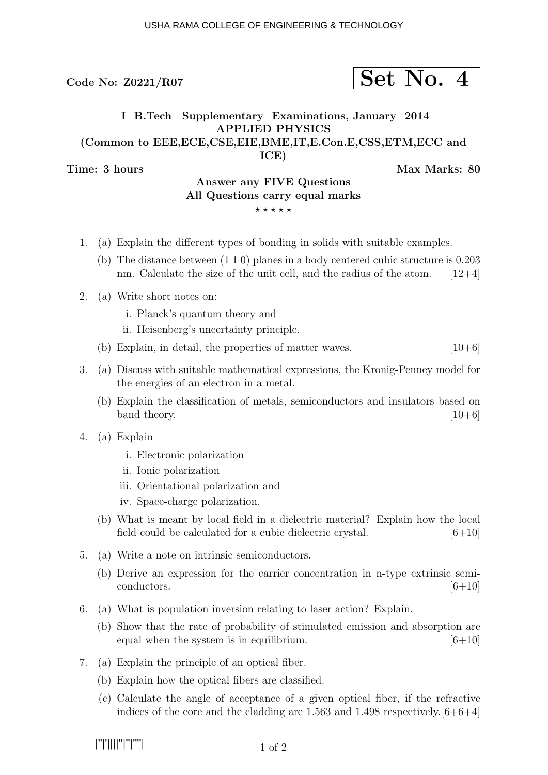# $\sim$  Code No: Z0221/R07  $\sim$   $\sim$   $\sim$   $\sim$   $\sim$   $\sim$   $\sim$  4

## I B.Tech Supplementary Examinations, January 2014 APPLIED PHYSICS (Common to EEE,ECE,CSE,EIE,BME,IT,E.Con.E,CSS,ETM,ECC and

ICE)

Time: 3 hours and the matrix of the Max Marks: 80

## Answer any FIVE Questions All Questions carry equal marks

- $***$ \*\*
- 1. (a) Explain the different types of bonding in solids with suitable examples.
	- (b) The distance between (1 1 0) planes in a body centered cubic structure is 0.203 nm. Calculate the size of the unit cell, and the radius of the atom.  $[12+4]$
- 2. (a) Write short notes on:
	- i. Planck's quantum theory and
	- ii. Heisenberg's uncertainty principle.
	- (b) Explain, in detail, the properties of matter waves.  $[10+6]$
- 3. (a) Discuss with suitable mathematical expressions, the Kronig-Penney model for the energies of an electron in a metal.
	- (b) Explain the classification of metals, semiconductors and insulators based on band theory.  $[10+6]$
- 4. (a) Explain
	- i. Electronic polarization
	- ii. Ionic polarization
	- iii. Orientational polarization and
	- iv. Space-charge polarization.
	- (b) What is meant by local field in a dielectric material? Explain how the local field could be calculated for a cubic dielectric crystal.  $[6+10]$
- 5. (a) Write a note on intrinsic semiconductors.
	- (b) Derive an expression for the carrier concentration in n-type extrinsic semiconductors.  $[6+10]$
- 6. (a) What is population inversion relating to laser action? Explain.
	- (b) Show that the rate of probability of stimulated emission and absorption are equal when the system is in equilibrium.  $[6+10]$
- 7. (a) Explain the principle of an optical fiber.
	- (b) Explain how the optical fibers are classified.
	- (c) Calculate the angle of acceptance of a given optical fiber, if the refractive indices of the core and the cladding are 1.563 and 1.498 respectively.  $[6+6+4]$

|''|'||||''|''|''''|